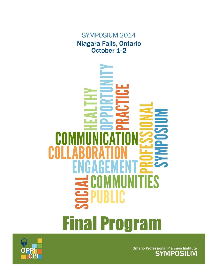SYMPOSIUM 2014 Niagara Falls, Ontario October 1-2





Ontario Professional Planners Institute<br>SYMPOSIUM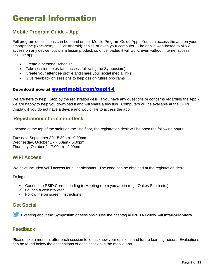# General Information

### **Mobile Program Guide - App**

Full program descriptions can be found on our Mobile Program Guide App. You can access the app on your smartphone (Blackberry, IOS or Android), tablet, or even your computer! The app is web-based to allow access on any device, but it is a fusion product, so once loaded it will work, even without internet access. Use the app to:

- Create a personal schedule
- Take session notes (and access following the Symposium)
- Create your attendee profile and share your social media links
- Give feedback on sessions to help design future programs

### Download now at [eventmobi.com/oppi14](http://r20.rs6.net/tn.jsp?e=0018D8CWj2m3fjOZdnGNNQgEHre47Wvx_vmCyOMUX9Sucw7e8Dc0YoZEQM1J1N9xNCYIp9zdw6jqbhS03_yIneA2_rC3TQ01dMkVh9Ozw1j_rOejgFy7aXqFQ==)

We are here to help! Stop by the registration desk, if you have any questions or concerns regarding the App we are happy to help you download it and will share a few tips. Computers will be available at the OPPI Display, if you do not have a device and would like to access the app.

### **Registration/Information Desk**

Located at the top of the stairs on the 2nd floor, the registration desk will be open the following hours:

Tuesday, September 30 - 5:30pm - 9:00pm Wednesday, October 1 - 7:00am - 5:00pm Thursday, October 2 - 7:00am - 2:00pm

### **WiFi Access**

We have included WiFi access for all participants. The code can be obtained at the registration desk.

To log on:

- $\checkmark$  Connect to SSID Corresponding to Meeting room you are in (e.g., Oakes South etc.)
- $\checkmark$  Launch a web browser
- $\checkmark$  Follow the on screen instructions

### **Get Social**

Tweeting about the Symposium or sessions? Use the hashtag **#OPPI14** Follow **[@OntarioPlanners](https://twitter.com/OntarioPlanners)**

### **Feedback**

Please take a moment after each session to let us know your opinions and future learning needs. Evaluations can be found below the descriptions of each session in the mobile app.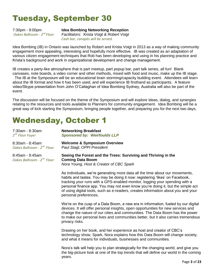# Tuesday, September 30

7:30pm - 9:00pm *Oakes Ballroom - 2 nd Floor*

### **Idea Bombing Networking Reception**

*Facilitators: Krista Voigt & Robert Voigt Cash bar, canapés will be served.*

Idea Bombing (IB) in Ontario was launched by Robert and Krista Voigt in 2013 as a way of making community engagement more appealing, interesting and hopefully more effective. IB was created as an adaptation of various citizen engagement techniques that Rob has been developing and using in his planning practice and Krista's background and work in organizational development and change management.

IB creates a party-like atmosphere that is part meetup, part popup bar, part talk series, all fun! Blank canvases, note boards, a video corner and other methods, mixed with food and music, make up the IB stage.

 The IB at the Symposium will be an educational brain storming/capacity building event. Attendees will learn about the IB format and how it has been used, and will experience IB firsthand as participants. A feature video/Skype presentation from John O'Callaghan of Idea Bombing Sydney, Australia will also be part of the event.

The discussion will be focused on the theme of the Symposium and will explore ideas, dialog, and synergies relating to the resources and tools available to Planners for community engagement. Idea Bombing will be a great way of kick starting the Symposium, bringing people together, and preparing you for the next two days.

### Wednesday, October 1

| 7:30am - 8:30am<br>2 <sup>nd</sup> Floor Foyer            | <b>Networking Breakfast</b><br><b>Sponsored by: Weirfoulds LLP</b>                                                                                           |
|-----------------------------------------------------------|--------------------------------------------------------------------------------------------------------------------------------------------------------------|
| 8:30am - 8:45am                                           | <b>Welcome &amp; Symposium Overview</b>                                                                                                                      |
| Oakes Ballroom - 2 <sup>nd</sup> Floor                    | Paul Stagl, OPPI President                                                                                                                                   |
| 8:45am - 9:45am<br>Oakes Ballroom - 2 <sup>nd</sup> Floor | Seeing the Forest and the Trees: Surviving and Thriving in the<br><b>Coming Data Boom</b>                                                                    |
|                                                           | Nora Young, Host & Creator of CBC Spark                                                                                                                      |
|                                                           | As individuals, we're generating more data all the time about our movements,<br>habits and tastes. You may be doing it now: registering 'likes' on Facebook, |

habits and tastes. You may be doing it now: registering 'likes' on Facebook, tracking your runs with a GPS-enabled monitor, logging your spending with a personal finance app. You may not even know you're doing it, but the simple act of using digital tools, such as e-readers, creates information about you and your personal preferences.

We're on the cusp of a Data Boom, a new era in information, fueled by our digital devices. It will offer personal insights, open opportunities for new services and change the nature of our cities and communities. The Data Boom has the power to make our personal lives and communities better, but it also carries tremendous privacy risks.

Drawing on her book, and her experience as host and creator of CBC's technology show, Spark, Nora explains how this Data Boom will change society, and what it means for individuals, businesses and communities.

Nora's talk will help you to plan strategically for the changing world, and give you the big-picture look at one of the top trends that will define our world in the coming years.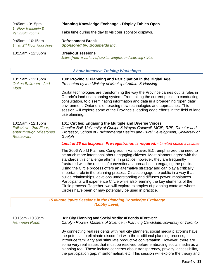| 9:45am - 3:15pm<br>$1st$ Floor Hennepin &                                                    | Planning Knowledge Exchange - Display Tables Open                                                                                                                                                                                                                                                                                                                                                                                                                                                                                                                                                                                                                                                                                                                                                                     |
|----------------------------------------------------------------------------------------------|-----------------------------------------------------------------------------------------------------------------------------------------------------------------------------------------------------------------------------------------------------------------------------------------------------------------------------------------------------------------------------------------------------------------------------------------------------------------------------------------------------------------------------------------------------------------------------------------------------------------------------------------------------------------------------------------------------------------------------------------------------------------------------------------------------------------------|
| Peninsula Rooms                                                                              | Take time during the day to visit our sponsor displays.                                                                                                                                                                                                                                                                                                                                                                                                                                                                                                                                                                                                                                                                                                                                                               |
| 9:45am - 10:15am<br>$1^{st}$ & $2^{nd}$ Floor Floor Foyer                                    | <b>Refreshment Break</b><br><b>Sponsored by: Bousfields Inc.</b>                                                                                                                                                                                                                                                                                                                                                                                                                                                                                                                                                                                                                                                                                                                                                      |
| 10:15am - 12:30pm                                                                            | <b>Breakout sessions</b><br>Select from a variety of session lengths and learning styles.                                                                                                                                                                                                                                                                                                                                                                                                                                                                                                                                                                                                                                                                                                                             |
|                                                                                              | <b>2 hour Intensive Training Workshops</b>                                                                                                                                                                                                                                                                                                                                                                                                                                                                                                                                                                                                                                                                                                                                                                            |
| 10:15am - 12:15pm<br>Oakes Ballroom - 2nd<br>Floor                                           | 100: Provincial Planning and Participation in the Digital Age<br>Presented by the Ministry of Municipal Affairs & Housing                                                                                                                                                                                                                                                                                                                                                                                                                                                                                                                                                                                                                                                                                             |
|                                                                                              | Digital technologies are transforming the way the Province carries out its roles in<br>Ontario's land use planning system. From taking the current pulse, to conducting<br>consultation, to disseminating information and data in a broadening "open data"<br>environment, Ontario is embracing new technologies and approaches. This<br>session will explore some of the Province's leading edge efforts in the field of land<br>use planning.                                                                                                                                                                                                                                                                                                                                                                       |
| 10:15am - 12:15pm<br>Fallsview - 2nd Floor,<br>enter through Milestones<br><b>Restaurant</b> | 101: Circles: Engaging the Multiple and Diverse Voices<br>Jennifer Ball, University of Guelph & Wayne Caldwell, MCIP, RPP, Director and<br>Professor, School of Environmental Design and Rural Development, University of<br>Guelph                                                                                                                                                                                                                                                                                                                                                                                                                                                                                                                                                                                   |
|                                                                                              | <b>Limit of 25 participants. Pre-registration is required. - Limited space available</b>                                                                                                                                                                                                                                                                                                                                                                                                                                                                                                                                                                                                                                                                                                                              |
|                                                                                              | The 2006 World Planners Congress in Vancouver, B.C. emphasized the need to<br>be much more intentional about engaging citizens. Most planners agree with the<br>standards this challenge affirms. In practice, however, they are frequently<br>frustrated with the results of conventional approaches to engaging the public.<br>Using the Circle process offers an alternative strategy and can play a critically<br>important role in the planning process. Circles engage the public in a way that<br>builds relationships, develops understanding and diffuses power imbalances.<br>Participants will experience Circle while also learning the key elements of the<br>Circle process. Together, we will explore examples of planning contexts where<br>Circles have been or may potentially be used in practice. |
|                                                                                              | 15 Minute Ignite Sessions in the Planning Knowledge Exchange<br>(Lobby Level)                                                                                                                                                                                                                                                                                                                                                                                                                                                                                                                                                                                                                                                                                                                                         |
|                                                                                              |                                                                                                                                                                                                                                                                                                                                                                                                                                                                                                                                                                                                                                                                                                                                                                                                                       |
| 10:15am - 10:30am                                                                            | IA1: City Planning and Social Media: #Friends #Forever?                                                                                                                                                                                                                                                                                                                                                                                                                                                                                                                                                                                                                                                                                                                                                               |

*Hennepin Room* 

### **IA1: City Planning and Social Media: #Friends #Forever?** *Carolyn Rowan, Masters of Science in Planning Candidate,University of Toronto*

By connecting real residents with real city planners, social media platforms have the potential to eliminate discomfort with the traditional planning process, introduce familiarity and stimulate productive conversation. However, there are some very real issues that must be resolved before embracing social media as a planning tool. These include concerns about transparency, privacy, accessibility, the participation gap, misinformation, etc. This session will explore the theory and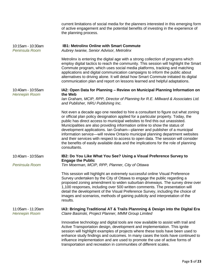|                                           | current limitations of social media for the planners interested in this emerging form<br>of active engagement and the potential benefits of investing in the experience of<br>the planning process.                                                                                                                                                                                                                                                                                                                                                                                                                                                                                          |
|-------------------------------------------|----------------------------------------------------------------------------------------------------------------------------------------------------------------------------------------------------------------------------------------------------------------------------------------------------------------------------------------------------------------------------------------------------------------------------------------------------------------------------------------------------------------------------------------------------------------------------------------------------------------------------------------------------------------------------------------------|
| 10:15am - 10:30am<br>Peninsula Room       | <b>IB1: Metrolinx Online with Smart Commute</b><br>Aubrey Iwaniw, Senior Advisor, Metrolinx                                                                                                                                                                                                                                                                                                                                                                                                                                                                                                                                                                                                  |
|                                           | Metrolinx is entering the digital age with a strong collection of programs which<br>employ digital tactics to reach the community. This session will highlight the Smart<br>Commute program, which uses social media platforms, tracking and matching<br>applications and digital communication campaigns to inform the public about<br>alternatives to driving alone. It will detail how Smart Commute initiated its digital<br>communication plan and report on lessons learned and helpful adaptations.                                                                                                                                                                                   |
| 10:40am - 10:55am                         | IA2: Open Data for Planning - Review on Municipal Planning Information on<br>the Web                                                                                                                                                                                                                                                                                                                                                                                                                                                                                                                                                                                                         |
| <b>Hennepin Room</b>                      | lan Graham, MCIP, RPP, Director of Planning for R.E. Millward & Associates Ltd.<br>and Publisher, NRU Publishing Inc.                                                                                                                                                                                                                                                                                                                                                                                                                                                                                                                                                                        |
|                                           | Not even a decade ago one needed to hire a consultant to figure out what zoning<br>or official plan policy designation applied for a particular property. Today, the<br>public has direct access to municipal websites to find this out unassisted.<br>Municipalities are also providing information online to show the status of<br>development applications. Ian Graham-planner and publisher of a municipal<br>information service—will review Ontario municipal planning department websites<br>and their services with respect to access to open data. The session will consider<br>the benefits of easily available data and the implications for the role of planning<br>consultants. |
| 10:40am - 10:55am                         | IB2: Do You Like What You See? Using a Visual Preference Survey to<br><b>Engage the Public</b>                                                                                                                                                                                                                                                                                                                                                                                                                                                                                                                                                                                               |
| Peninsula Room                            | Tim Moerman, MCIP, RPP, Planner, City of Ottawa                                                                                                                                                                                                                                                                                                                                                                                                                                                                                                                                                                                                                                              |
|                                           | This session will highlight an extremely successful online Visual Preference<br>Survey undertaken by the City of Ottawa to engage the public regarding a<br>proposed zoning amendment to widen suburban driveways. The survey drew over<br>1,100 responses, including over 500 written comments. The presentation will<br>detail the development of the Visual Preference Survey, including the choice of<br>images and scenarios, methods of gaining publicity and interpretation of the<br>results.                                                                                                                                                                                        |
| 11:05am - 11:20am<br><b>Hennepin Room</b> | IA3: Bringing Traditional AT & Trails Plannning & Design into the Digital Era<br>Claire Basinski, Project Planner, MMM Group Limited                                                                                                                                                                                                                                                                                                                                                                                                                                                                                                                                                         |
|                                           | Innovative technology and digital tools are now available to assist with trail and<br>Active Transportation design, development and implementation. This ignite<br>session will highlight examples of projects where these tools have been used to<br>enhance study findings and outcomes. In many cases the tools have continued to<br>influence implementation and are used to promote the use of active forms of<br>transportation and recreation in communities of different scales.                                                                                                                                                                                                     |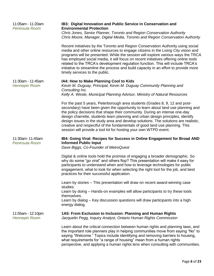| 11:05am - 11:20am<br>Peninsula Room       | IB3: Digital Innovation and Public Service in Conservation and<br><b>Environmental Protection</b>                                                                                                                                                                                                                                                                                                                                                                                                                                                                         |
|-------------------------------------------|---------------------------------------------------------------------------------------------------------------------------------------------------------------------------------------------------------------------------------------------------------------------------------------------------------------------------------------------------------------------------------------------------------------------------------------------------------------------------------------------------------------------------------------------------------------------------|
|                                           | Chris Jones, Senior Planner, Toronto and Region Conservation Authority<br>Chris Moore, Manager, Digital Media, Toronto and Region Conservation Authority                                                                                                                                                                                                                                                                                                                                                                                                                  |
|                                           | Recent initiatives by the Toronto and Region Conservation Authority using social<br>media and other online resources to engage citizens in the Living City vision and<br>programs will be presented. While the session will explore various ways the TRCA<br>has employed social media, it will focus on recent initiatives offering online tools<br>related to the TRCA's development regulation function. This will include TRCA's<br>initiative to streamline the process and build capacity in an effort to provide more<br>timely services to the public.            |
| 11:30am - 11:45am<br><b>Hennepin Room</b> | IA4: How to Make Planning Cool to Kids<br>Kevin M. Duguay, Principal, Kevin M. Duguay Community Planning and<br>Consulting Inc.                                                                                                                                                                                                                                                                                                                                                                                                                                           |
|                                           | Kelly A. Weste, Municipal Planning Advisor, Ministry of Natural Resources                                                                                                                                                                                                                                                                                                                                                                                                                                                                                                 |
|                                           | For the past 5 years, Peterborough area students (Grades 8, 9, 12 and post-<br>secondary) have been given the opportunity to learn about land use planning and<br>the policy decisions that shape their community. During an intense one-day<br>design charrette, students learn planning and urban design principles, identify<br>design issues in the study area and develop solutions. The solutions are realistic,<br>creative and respectful of the fundamentals of good land use planning. This<br>session will provide a tool kit for hosting your own WTPD event. |
|                                           |                                                                                                                                                                                                                                                                                                                                                                                                                                                                                                                                                                           |
| 11:30am- 11:45am<br>Peninsula Room        | IB4: Going Viral: Recipes for Success in Online Engagement for Broad AND<br><b>Informed Public Input</b><br>Dave Biggs, Co-Founder of MetroQuest                                                                                                                                                                                                                                                                                                                                                                                                                          |
|                                           | Digital & online tools hold the promise of engaging a broader demographic. So<br>why do some "go viral" and others flop? This presentation will make it easy for<br>participants to understand when and how to leverage technologies for public<br>engagement, what to look for when selecting the right tool for the job, and best<br>practices for their successful application.                                                                                                                                                                                        |
|                                           | Learn by stories – This presentation will draw on recent award-winning case<br>studies.                                                                                                                                                                                                                                                                                                                                                                                                                                                                                   |
|                                           | Learn by doing – Hands-on examples will allow participants to try these tools<br>themselves.<br>Learn by dialog – Key discussion questions will draw participants into a high<br>energy dialog.                                                                                                                                                                                                                                                                                                                                                                           |
| 11:55am - 12:10pm<br><b>Hennepin Room</b> | 1A5: From Exclusion to Inclusion: Planning and Human Rights<br>Jacquelin Pegg, Inquiry Analyst, Ontario Human Rights Commission                                                                                                                                                                                                                                                                                                                                                                                                                                           |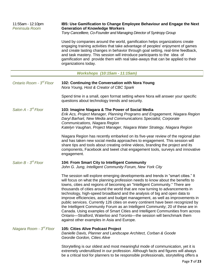| 11:55am - 12:10pm<br>Peninsula Room  | IB5: Use Gamification to Change Employee Behaviour and Engage the Next<br><b>Generation of Knowledge Workers</b><br>Tony Cancelliere, Co-Founder and Managing Director of Syntropy Group                                                                                                                                                                                                                                                   |
|--------------------------------------|--------------------------------------------------------------------------------------------------------------------------------------------------------------------------------------------------------------------------------------------------------------------------------------------------------------------------------------------------------------------------------------------------------------------------------------------|
|                                      | Used by companies around the world, gamification helps organizations create<br>engaging training activities that take advantage of peoples' enjoyment of games<br>and create lasting changes in behavior through goal setting, real-time feedback,<br>and task mastery. This session will introduce participants to the idea of<br>gamification and provide them with real take-aways that can be applied to their<br>organizations today. |
|                                      | <b>Workshops (10:15am - 11:15am)</b>                                                                                                                                                                                                                                                                                                                                                                                                       |
| Ontario Room - 3 <sup>rd</sup> Floor | 102: Continuing the Conversation with Nora Young<br>Nora Young, Host & Creator of CBC Spark<br>Spond time in a small, gpon format softing where Nora will apply their spoolfie                                                                                                                                                                                                                                                             |

Spend time in a small, open format setting where Nora will answer your specific questions about technology trends and security.

*Salon A - 3 rd Floor* **103: Imagine Niagara & The Power of Social Media** *Erik Acs, Project Manager, Planning Programs and Engagement, Niagara Region Daryl Barhart, New Media and Communications Specialist, Corporate Communications, Niagara Region Katelyn Vaughan, Project Manager, Niagara Water Strategy, Niagara Region*

> Niagara Region has recently embarked on its five-year review of the regional plan and has taken new social media approaches to engagement. This session will share tips and tools about creating online videos, branding the project and its components, Facebook and tweet chat engagement tools, surveys and innovative engagement.

#### *Salon B - 3* **104: From Smart City to Intelligent Community**

*John G. Jung, Intelligent Community Forum, New York City*

The session will explore emerging developments and trends in "smart cities." It will focus on what the planning profession needs to know about the benefits to towns, cities and regions of becoming an "Intelligent Community." There are thousands of cities around the world that are now turning to advancements in technology, high-speed broadband and the analysis of big and open data to improve efficiencies, asset and budget management, as well as improvements in public services. Currently 126 cities on every continent have been recognized by the Intelligent Community Forum as an Intelligent Community; 20 of these are in Canada. Using examples of Smart Cities and Intelligent Communities from across Ontario—Stratford, Waterloo and Toronto—the session will benchmark them against other examples in Asia and Europe.

#### *Niagara Room - 3* **105: Cities Alive Podcast Project** *Danielle Davis, Planner and Landscape Architect, Corban & Goode Geordie Gordon, Cities Alive*

Storytelling is our oldest and most meaningful mode of communication, yet it is extremely underutilized in our profession. Although facts and figures will always be a critical tool for planners to be responsible professionals, storytelling offers a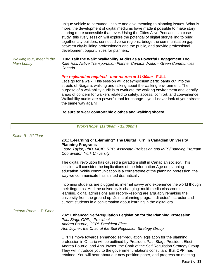unique vehicle to persuade, inspire and give meaning to planning issues. What is more, the development of digital mediums have made it possible to make story sharing more accessible than ever. Using the Cities Alive Podcast as a case study, this lively session will explore the potential of digital storytelling to bring together city builders, connect diverse regions, bridge the communication gap between city-building professionals and the public, and provide professional development opportunities for planners.

*Walking tour, meet in the Main Lobby*

**106: Talk the Walk: Walkability Audits as a Powerful Engagement Tool** *Kate Hall, Active Transportation Planner Canada Walks – Green Communities Canada*

### *Pre-registration required - tour returns at 11:30am -* **FULL**

Let's go for a walk! This session will get symposium participants out into the streets of Niagara, walking and talking about the walking environment. The purpose of a walkability audit is to evaluate the walking environment and identify areas of concern for walkers related to safety, access, comfort, and convenience. Walkability audits are a powerful tool for change – you'll never look at your streets the same way again!

#### **Be sure to wear comfortable clothes and walking shoes!**

| Workshops (11:30am - 12:30pm) |  |  |
|-------------------------------|--|--|
|-------------------------------|--|--|

| 201: E-learning or E-larming? The Digital Turn in Canadian University<br><b>Planning Programs</b><br>Coordinator, York University<br>The digital revolution has caused a paradigm shift in Canadian society. This<br>session will consider the implications of the Information Age on planning<br>education. While communication is a cornerstone of the planning profession, the<br>way we communicate has shifted dramatically.<br>Incoming students are plugged in, internet savvy and experience the world though<br>their fingertips. And the university is changing: multi-media classrooms, e-<br>learning, digital admissions and record-keeping are arguably remaking the<br>university from the ground up. Join a planning program director/ instructor and<br>current students in a conversation about learning in the digital era.<br>Ontario Room - 3 <sup>rd</sup> Floor<br>202: Enhanced Self-Regulation Legislation for the Planning Profession<br>Paul Stagl, OPPI, President<br>Andrea Bourrie, OPPI, President Elect<br>Ann Joyner, the Chair of the Self Regulation Strategy Group<br>OPPI's move towards enhanced self-regulation legislation for the planning<br>profession in Ontario will be outlined by President Paul Stagl, President Elect<br>Andrea Bourrie, and Ann Joyner, the Chair of the Self Regulation Strategy Group.<br>They will introduce you to the government relations consultant that OPPI has<br>retained. You will hear about our new position paper, and progress on meeting | Salon $B - 3^{rd}$ Floor |                                                                             |
|-----------------------------------------------------------------------------------------------------------------------------------------------------------------------------------------------------------------------------------------------------------------------------------------------------------------------------------------------------------------------------------------------------------------------------------------------------------------------------------------------------------------------------------------------------------------------------------------------------------------------------------------------------------------------------------------------------------------------------------------------------------------------------------------------------------------------------------------------------------------------------------------------------------------------------------------------------------------------------------------------------------------------------------------------------------------------------------------------------------------------------------------------------------------------------------------------------------------------------------------------------------------------------------------------------------------------------------------------------------------------------------------------------------------------------------------------------------------------------------------------------------------------------|--------------------------|-----------------------------------------------------------------------------|
|                                                                                                                                                                                                                                                                                                                                                                                                                                                                                                                                                                                                                                                                                                                                                                                                                                                                                                                                                                                                                                                                                                                                                                                                                                                                                                                                                                                                                                                                                                                             |                          | Laura Taylor, PhD, MCIP, RPP, Associate Profession and MES/Planning Program |
|                                                                                                                                                                                                                                                                                                                                                                                                                                                                                                                                                                                                                                                                                                                                                                                                                                                                                                                                                                                                                                                                                                                                                                                                                                                                                                                                                                                                                                                                                                                             |                          |                                                                             |
|                                                                                                                                                                                                                                                                                                                                                                                                                                                                                                                                                                                                                                                                                                                                                                                                                                                                                                                                                                                                                                                                                                                                                                                                                                                                                                                                                                                                                                                                                                                             |                          |                                                                             |
|                                                                                                                                                                                                                                                                                                                                                                                                                                                                                                                                                                                                                                                                                                                                                                                                                                                                                                                                                                                                                                                                                                                                                                                                                                                                                                                                                                                                                                                                                                                             |                          |                                                                             |
|                                                                                                                                                                                                                                                                                                                                                                                                                                                                                                                                                                                                                                                                                                                                                                                                                                                                                                                                                                                                                                                                                                                                                                                                                                                                                                                                                                                                                                                                                                                             |                          |                                                                             |
|                                                                                                                                                                                                                                                                                                                                                                                                                                                                                                                                                                                                                                                                                                                                                                                                                                                                                                                                                                                                                                                                                                                                                                                                                                                                                                                                                                                                                                                                                                                             |                          |                                                                             |
|                                                                                                                                                                                                                                                                                                                                                                                                                                                                                                                                                                                                                                                                                                                                                                                                                                                                                                                                                                                                                                                                                                                                                                                                                                                                                                                                                                                                                                                                                                                             |                          |                                                                             |
|                                                                                                                                                                                                                                                                                                                                                                                                                                                                                                                                                                                                                                                                                                                                                                                                                                                                                                                                                                                                                                                                                                                                                                                                                                                                                                                                                                                                                                                                                                                             |                          |                                                                             |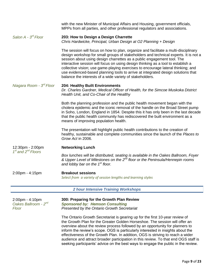|                                                  | with the new Minister of Municipal Affairs and Housing, government officials,<br>MPPs from all parties, and other professional regulators and associations.                                                                                                                                                                                                                                                                                                                                                                                                                  |
|--------------------------------------------------|------------------------------------------------------------------------------------------------------------------------------------------------------------------------------------------------------------------------------------------------------------------------------------------------------------------------------------------------------------------------------------------------------------------------------------------------------------------------------------------------------------------------------------------------------------------------------|
| Salon A - 3 <sup>rd</sup> Floor                  | 203: How to Design a Design Charrette<br>Chris Hardwicke, Principal, Urban Design at O2 Planning + Design                                                                                                                                                                                                                                                                                                                                                                                                                                                                    |
|                                                  | The session will focus on how to plan, organize and facilitate a multi-disciplinary<br>design workshop for small groups of stakeholders and technical experts. It is not a<br>session about using design charrettes as a public engagement tool. The<br>interactive session will focus on using design thinking as a tool to establish a<br>collective vision; use game-playing exercises to encourage lateral thinking; and<br>use evidenced-based planning tools to arrive at integrated design solutions that<br>balance the interests of a wide variety of stakeholders. |
| Niagara Room - 3 <sup>rd</sup> Floor             | <b>204: Healthy Built Environments</b><br>Dr. Charles Gardner, Medical Officer of Health, for the Simcoe Muskoka District<br>Health Unit, and Co-Chair of the Healthy                                                                                                                                                                                                                                                                                                                                                                                                        |
|                                                  | Both the planning profession and the public health movement began with the<br>cholera epidemic and the iconic removal of the handle on the Broad Street pump<br>in Soho, London, England in 1854. Despite this it has only been in the last decade<br>that the public health community has rediscovered the built environment as a<br>means of improving population health.                                                                                                                                                                                                  |
|                                                  | The presentation will highlight public health contributions to the creation of<br>healthy, sustainable and complete communities since the launch of the Places to<br>Grow Act in 2006.                                                                                                                                                                                                                                                                                                                                                                                       |
| 12:30pm - 2:00pm<br>$1st$ and $2nd$ Floors       | <b>Networking Lunch</b>                                                                                                                                                                                                                                                                                                                                                                                                                                                                                                                                                      |
|                                                  | Box lunches will be distributed, seating is available in the Oakes Ballroom, Foyer<br>& Upper Level of Milestones on the 2 <sup>nd</sup> floor or the Peninsula/Hennepin rooms<br>and lobby bar on the 1 <sup>st</sup> floor.                                                                                                                                                                                                                                                                                                                                                |
| 2:00pm - 4:15pm                                  | <b>Breakout sessions</b><br>Select from a variety of session lengths and learning styles                                                                                                                                                                                                                                                                                                                                                                                                                                                                                     |
|                                                  | <b>2 hour Intensive Training Workshops</b>                                                                                                                                                                                                                                                                                                                                                                                                                                                                                                                                   |
| 2:00pm - 4:10pm<br>Oakes Ballroom - 2nd<br>Floor | 300: Preparing for the Growth Plan Review<br><b>Sponsored by: Hemson Consulting</b><br>Presented by the Ontario Growth Secretariat                                                                                                                                                                                                                                                                                                                                                                                                                                           |
|                                                  |                                                                                                                                                                                                                                                                                                                                                                                                                                                                                                                                                                              |

The Ontario Growth Secretariat is gearing up for the first 10-year review of the Growth Plan for the Greater Golden Horseshoe. The session will offer an overview about the review process followed by an opportunity for planners to inform the review's scope. OGS is particularly interested in insights about the effectiveness of the Growth Plan. In addition, OGS is striving to reach a wider audience and attract broader participation in this review. To that end OGS staff is seeking participants' advice on the best ways to engage the public in the review.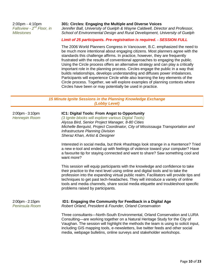2:00pm - 4:10pm *Fallsview - 2<sup>nd</sup> Floor, in Milestones* 

### **301: Circles: Engaging the Multiple and Diverse Voices**

*Jennifer Ball, University of Guelph & Wayne Caldwell, Director and Professor, School of Environmental Design and Rural Development, University of Guelph*

### *Limit of 25 participants. Pre-registration is required. - SESSION FULL*

The 2006 World Planners Congress in Vancouver, B.C. emphasized the need to be much more intentional about engaging citizens. Most planners agree with the standards this challenge affirms. In practice, however, they are frequently frustrated with the results of conventional approaches to engaging the public. Using the Circle process offers an alternative strategy and can play a critically important role in the planning process. Circles engage the public in a way that builds relationships, develops understanding and diffuses power imbalances. Participants will experience Circle while also learning the key elements of the Circle process. Together, we will explore examples of planning contexts where Circles have been or may potentially be used in practice.

*15 Minute Ignite Sessions in the Planning Knowledge Exchange (Lobby Level)*

| 2:00pm - 3:10pm<br><b>Hennepin Room</b> | IC1: Digital Tools: From Angst to Opportunity<br>(3 Ignite blocks will explore various Digital Tools)<br>Alyssa Bird, Senior Project Manager, 8-80 Cities<br>Michelle Berquist, Project Coordinator, City of Mississauga Transportation and<br><b>Infrastructure Planning Division</b><br>Sheraz Khan, Artist & Designer                                                                                                                                              |
|-----------------------------------------|-----------------------------------------------------------------------------------------------------------------------------------------------------------------------------------------------------------------------------------------------------------------------------------------------------------------------------------------------------------------------------------------------------------------------------------------------------------------------|
|                                         | Interested in social media, but think #hashtags look strange in a #sentence? Tried<br>a new e-tool and ended up with feelings of violence toward your computer? Have<br>a favourite tip for staying connected and want to share? Saw something cool and<br>want more?                                                                                                                                                                                                 |
|                                         | This session will equip participants with the knowledge and confidence to take<br>their practice to the next level using online and digital tools and to take the<br>profession into the expanding virtual public realm. Facilitators will provide tips and<br>techniques to get past tech-headaches. They will introduce a variety of online<br>tools and media channels, share social media etiquette and troubleshoot specific<br>problems raised by participants. |
| $2:00$ pm - $2:15$ pm<br>Peninsula Room | ID1: Engaging the Community for Feedback in a Digital Age<br>Robert Orland, President & Founder, Orland Conservation                                                                                                                                                                                                                                                                                                                                                  |
|                                         | Three consultants-North-South Environmental, Orland Conservation and LURA<br>Consulting—are working together on a Natural Heritage Study for the City of<br>Vaughan. The session will highlight the methods the team is using to solicit input,<br>including GIS mapping tools, e-newsletters, live twitter feeds and other social<br>media, webpage bulletins, online surveys and stakeholder workshops.                                                             |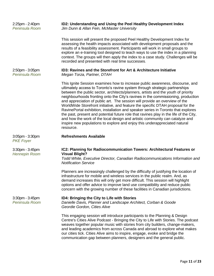| 2:25pm - 2:40pm<br>Peninsula Room             | ID2: Understanding and Using the Peel Healthy Development Index<br>Jim Dunn & Allan Fein, McMaster University                                                                                                                                                                                                                                                                                                                                                                                                                                                                                                                                                                                                                                                                                                                                                     |
|-----------------------------------------------|-------------------------------------------------------------------------------------------------------------------------------------------------------------------------------------------------------------------------------------------------------------------------------------------------------------------------------------------------------------------------------------------------------------------------------------------------------------------------------------------------------------------------------------------------------------------------------------------------------------------------------------------------------------------------------------------------------------------------------------------------------------------------------------------------------------------------------------------------------------------|
|                                               | This session will present the proposed Peel Healthy Development Index for<br>assessing the health impacts associated with development proposals and the<br>results of a feasibility assessment. Participants will work in small groups to<br>explore an e-training tool designed to teach ways to use the index in a planning<br>context. The groups will then apply the index to a case study. Challenges will be<br>recorded and presented with real time successes.                                                                                                                                                                                                                                                                                                                                                                                            |
| $2:50$ pm - $3:05$ pm<br>Peninsula Room       | ID3: Ravines and the Storefront for Art & Architecture Initiative<br>Megan Torza, Partner, DTAH                                                                                                                                                                                                                                                                                                                                                                                                                                                                                                                                                                                                                                                                                                                                                                   |
|                                               | This Ignite Session examines how to increase public awareness, discourse, and<br>ultimately access to Toronto's ravine system through strategic partnerships<br>between the public sector, architects/planners, artists and the youth of priority<br>neighbourhoods fronting onto the City's ravines in the commissioning, production<br>and appreciation of public art. The session will provide an overview of the<br>WorldWide Storefront initiative, and feature the specific DTAH proposal for the<br>RavinePortal exhibition, installation and speaker series in Toronto that explores<br>the past, present and potential future role that ravines play in the life of the City,<br>and how the work of the local design and artistic community can catalyze and<br>inspire new populations to explore and enjoy this underappreciated natural<br>resource. |
| $3:05$ pm - $3:30$ pm<br><b>PKE Foyer</b>     | <b>Refreshments Available</b>                                                                                                                                                                                                                                                                                                                                                                                                                                                                                                                                                                                                                                                                                                                                                                                                                                     |
| $3:30$ pm - $3:45$ pm<br><b>Hennepin Room</b> | IC2: Planning for Radiocommunication Towers: Architectural Features or<br><b>Visual Blight?</b><br>Todd White, Executive Director, Canadian Radiocommunications Information and<br><b>Notification Service</b>                                                                                                                                                                                                                                                                                                                                                                                                                                                                                                                                                                                                                                                    |
|                                               | Planners are increasingly challenged by the difficulty of justifying the location of<br>infrastructure for mobile and wireless services in the public realm. And, as<br>demand increases this will only get more difficult. This session will highlight<br>options and offer advice to improve land use compatibility and reduce public<br>concern with the growing number of these facilities in Canadian jurisdictions.                                                                                                                                                                                                                                                                                                                                                                                                                                         |
| $3:30$ pm - $3:45$ pm<br>Peninsula Room       | ID4: Bringing the City to Life with Stories<br>Danielle Davis, Planner and Landscape Architect, Corban & Goode<br>Geordie Gordon, Cities Alive                                                                                                                                                                                                                                                                                                                                                                                                                                                                                                                                                                                                                                                                                                                    |
|                                               | This engaging session will introduce participants to the Planning & Design<br>Centre's Cities Alive Podcast - Bringing the City to Life with Stories. The podcast<br>weaves together popular music with stories from city builders, change-makers,<br>and leading academics from across Canada and abroad to explore what makes<br>our cities tick. Cities Alive aims to inspire, engage, evoke and bridge the<br>communication gap between planners, designers and the general public.                                                                                                                                                                                                                                                                                                                                                                           |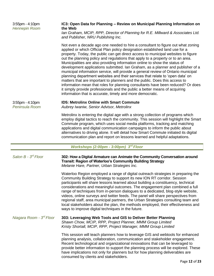| 3:55pm - 4:10pm<br><b>Hennepin Room</b> | IC3: Open Data for Planning - Review on Municipal Planning Information on<br>the Web<br>lan Graham, MCIP, RPP, Director of Planning for R.E. Millward & Associates Ltd.<br>and Publisher, NRU Publishing Inc.                                                                                                                                                                                                                                                                                                                                                                                                                                                                                                                                                                                                                                                                                                                                                                              |
|-----------------------------------------|--------------------------------------------------------------------------------------------------------------------------------------------------------------------------------------------------------------------------------------------------------------------------------------------------------------------------------------------------------------------------------------------------------------------------------------------------------------------------------------------------------------------------------------------------------------------------------------------------------------------------------------------------------------------------------------------------------------------------------------------------------------------------------------------------------------------------------------------------------------------------------------------------------------------------------------------------------------------------------------------|
|                                         | Not even a decade ago one needed to hire a consultant to figure out what zoning<br>applied or which Official Plan policy designation established land use for a<br>property. Today, the public can get direct access to municipal websites to figure<br>out the planning policy and regulations that apply to a property or to an area.<br>Municipalities are also providing information online to show the status of<br>development applications submitted. Ian Graham, as a planner and publisher of a<br>municipal information service, will provide a general review of Ontario municipal<br>planning department websites and their services that relate to 'open data' on<br>matters that are important to planners and the public. Does this access to<br>information mean that roles for planning consultants have been reduced? Or does<br>it simply provide professionals and the public a better means of acquiring<br>information that is accurate, timely and more democratic. |
| 3:55pm - 4:10pm<br>Peninsula Room       | <b>ID5: Metrolinx Online with Smart Commute</b><br>Aubrey Iwaniw, Senior Advisor, Metrolinx                                                                                                                                                                                                                                                                                                                                                                                                                                                                                                                                                                                                                                                                                                                                                                                                                                                                                                |
|                                         | Metrolinx is entering the digital age with a strong collection of programs which<br>employ digital tactics to reach the community. This session will highlight the Smart<br>Commute program, which uses social media platforms, tracking and matching<br>applications and digital communication campaigns to inform the public about<br>alternatives to driving alone. It will detail how Smart Commute initiated its digital<br>communication plan and report on lessons learned and helpful adaptations.                                                                                                                                                                                                                                                                                                                                                                                                                                                                                 |
|                                         | Workshops (2:00pm - 3:00pm) 3rd Floor                                                                                                                                                                                                                                                                                                                                                                                                                                                                                                                                                                                                                                                                                                                                                                                                                                                                                                                                                      |
| Salon B - 3 <sup>rd</sup> Floor         | 302: How a Digital Armature can Animate the Community Conversation around<br><b>Transit: Region of Waterloo's Community Building Strategy</b><br>Melanie Hare, Partner, Urban Strategies Inc.                                                                                                                                                                                                                                                                                                                                                                                                                                                                                                                                                                                                                                                                                                                                                                                              |
|                                         | Waterloo Region employed a range of digital outreach strategies in preparing the<br>Community Building Strategy to support its new ION RT corridor. Session<br>participants will share lessons learned about building a constituency, technical<br>considerations and meaningful outcomes. The engagement plan combined a full<br>range of techniques from in-person dialogues to a dedicated, blog-style website,<br>videos, online surveys and twitter feeds. The panel will share perspectives from<br>regional staff, area municipal partners, the Urban Strategies consulting team and<br>local stakeholders about the plan, the methods employed, their effectiveness and<br>ways to improve digital techniques in the future.                                                                                                                                                                                                                                                       |
| Niagara Room - 3 <sup>rd</sup> Floor    | 303: Leveraging Web Tools and GIS to Deliver Better Planning<br>Shawn Chow, MCIP, RPP, Project Planner, MMM Group Limited<br>Kristy Shortall, MCIP, RPP, Project Manager, MMM Group Limited                                                                                                                                                                                                                                                                                                                                                                                                                                                                                                                                                                                                                                                                                                                                                                                                |
|                                         | This session will teach planners how to leverage GIS and webtools for enhanced<br>planning analysis, collaboration, communication and stakeholder engagement.<br>Recent technological and organizational innovations that can be leveraged to<br>provide better information to support the planning process will be explored. These<br>have implications not only for planners but for how planning deliverables are<br>consumed by clients and stakeholders.                                                                                                                                                                                                                                                                                                                                                                                                                                                                                                                              |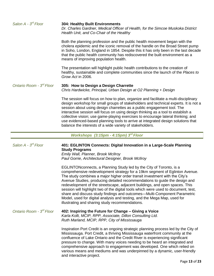| Salon $A - 3^{rd}$ Floor             | <b>304: Healthy Built Environments</b><br>Dr. Charles Gardner, Medical Officer of Health, for the Simcoe Muskoka District<br>Health Unit, and Co-Chair of the Healthy                                                                                                                                                                                                                                                                                                                                                                                                                                                                                                                                                                                 |
|--------------------------------------|-------------------------------------------------------------------------------------------------------------------------------------------------------------------------------------------------------------------------------------------------------------------------------------------------------------------------------------------------------------------------------------------------------------------------------------------------------------------------------------------------------------------------------------------------------------------------------------------------------------------------------------------------------------------------------------------------------------------------------------------------------|
|                                      | Both the planning profession and the public health movement began with the<br>cholera epidemic and the iconic removal of the handle on the Broad Street pump<br>in Soho, London, England in 1854. Despite this it has only been in the last decade<br>that the public health community has rediscovered the built environment as a<br>means of improving population health.                                                                                                                                                                                                                                                                                                                                                                           |
|                                      | The presentation will highlight public health contributions to the creation of<br>healthy, sustainable and complete communities since the launch of the Places to<br>Grow Act in 2006.                                                                                                                                                                                                                                                                                                                                                                                                                                                                                                                                                                |
| Ontario Room - 3 <sup>rd</sup> Floor | 305: How to Design a Design Charrette<br>Chris Hardwicke, Principal, Urban Design at O2 Planning + Design                                                                                                                                                                                                                                                                                                                                                                                                                                                                                                                                                                                                                                             |
|                                      | The session will focus on how to plan, organize and facilitate a multi-disciplinary<br>design workshop for small groups of stakeholders and technical experts. It is not a<br>session about using design charrettes as a public engagement tool. The<br>interactive session will focus on using design thinking as a tool to establish a<br>collective vision; use game-playing exercises to encourage lateral thinking; and<br>use evidenced-based planning tools to arrive at integrated design solutions that<br>balance the interests of a wide variety of stakeholders.                                                                                                                                                                          |
|                                      | Workshops (3:15pm - 4:15pm) 3rd Floor                                                                                                                                                                                                                                                                                                                                                                                                                                                                                                                                                                                                                                                                                                                 |
| Salon A - 3 <sup>rd</sup> Floor      |                                                                                                                                                                                                                                                                                                                                                                                                                                                                                                                                                                                                                                                                                                                                                       |
|                                      | 401: EGLINTON Connects: Digital Innovation in a Large-Scale Planning<br><b>Study Programs</b><br>Emily Wall, Planner, Brook McIlroy                                                                                                                                                                                                                                                                                                                                                                                                                                                                                                                                                                                                                   |
|                                      | Paul Gorrie, Architectural Designer, Brook McIlroy<br>EGLINTON connects, a Planning Study led by the City of Toronto, is a<br>comprehensive redevelopment strategy for a 19km segment of Eglinton Avenue.<br>The study combines a major higher order transit investment with the City's<br>Avenue Studies, producing detailed recommendations to quide the design and<br>redevelopment of the streetscape, adjacent buildings, and open spaces. This<br>session will highlight two of the digital tools which were used to document, test,<br>share and discuss study findings and outcomes-Multi-Component Parametric<br>Model, used for digital analysis and testing, and the Mega Map, used for<br>illustrating and sharing study recommendations. |
| Ontario Room - 3 <sup>rd</sup> Floor | 402: Inspiring the Future for Change - Giving a Voice<br>Karla Kolli, MCIP, RPP, Associate, Dillon Consulting Ltd.<br>Ruth Marland, MCIP, RPP, City of Mississauga                                                                                                                                                                                                                                                                                                                                                                                                                                                                                                                                                                                    |

 $\overline{\phantom{a}}$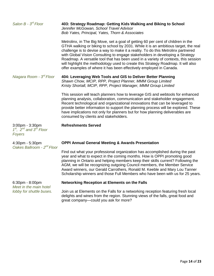| Salon $B - 3^{rd}$ Floor                                         | 403: Strategy Roadmap: Getting Kids Walking and Biking to School<br>Jennifer McGowan, School Travel Advisor<br>Bob Yates, Principal, Yates, Thorn & Associates                                                                                                                                                                                                                                                                                                                                                                                                                                   |
|------------------------------------------------------------------|--------------------------------------------------------------------------------------------------------------------------------------------------------------------------------------------------------------------------------------------------------------------------------------------------------------------------------------------------------------------------------------------------------------------------------------------------------------------------------------------------------------------------------------------------------------------------------------------------|
|                                                                  | Metrolinx, in The Big Move, set a goal of getting 60 per cent of children in the<br>GTHA walking or biking to school by 2031. While it is an ambitious target, the real<br>challenge is to devise a way to make it a reality. To do this Metrolinx partnered<br>with Global Vision Consulting to engage stakeholders in developing a Strategy<br>Roadmap. A versatile tool that has been used in a variety of contexts, this session<br>will highlight the methodology used to create this Strategy Roadmap. It will also<br>offer examples of where it has been effectively employed in Canada. |
| Niagara Room - 3 <sup>rd</sup> Floor                             | 404: Leveraging Web Tools and GIS to Deliver Better Planning<br>Shawn Chow, MCIP, RPP, Project Planner, MMM Group Limited<br>Kristy Shortall, MCIP, RPP, Project Manager, MMM Group Limited                                                                                                                                                                                                                                                                                                                                                                                                      |
|                                                                  | This session will teach planners how to leverage GIS and webtools for enhanced<br>planning analysis, collaboration, communication and stakeholder engagement.<br>Recent technological and organizational innovations that can be leveraged to<br>provide better information to support the planning process will be explored. These<br>have implications not only for planners but for how planning deliverables are<br>consumed by clients and stakeholders.                                                                                                                                    |
| $3:00$ pm - $3:30$ pm<br>$1st$ , $2nd$ and $3rd$ Floor<br>Foyers | <b>Refreshments Served</b>                                                                                                                                                                                                                                                                                                                                                                                                                                                                                                                                                                       |
| 4:30pm - 5:30pm<br>Oakes Ballroom - 2 <sup>nd</sup> Floor        | <b>OPPI Annual General Meeting &amp; Awards Presentation</b>                                                                                                                                                                                                                                                                                                                                                                                                                                                                                                                                     |
|                                                                  | Find out what your professional organization has accomplished during the past<br>year and what to expect in the coming months. How is OPPI promoting good<br>planning in Ontario and helping members keep their skills current? Following the<br>AGM, we will be recognizing outgoing Council members, the Member Service<br>Award winners, our Gerald Carrothers, Ronald M. Keeble and Mary Lou Tanner<br>Scholarship winners and those Full Members who have been with us for 25 years.                                                                                                        |
| 6:30pm - 8:00pm<br>Meet in the main hotel                        | <b>Networking Reception at Elements on the Falls</b>                                                                                                                                                                                                                                                                                                                                                                                                                                                                                                                                             |
| lobby for shuttle buses.                                         | Join us at Elements on the Falls for a networking reception featuring fresh local<br>delights and wines from the region. Stunning views of the falls, great food and<br>great company-could you ask for more?                                                                                                                                                                                                                                                                                                                                                                                    |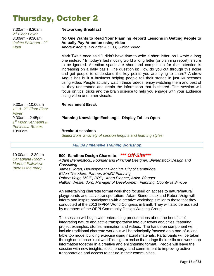# Thursday, October 2

7:30am - 8:30am *2 nd Floor Foyer* 8:30am - 9:30am Oakes Ballroom - 2<sup>nd</sup> *Floor*

### **Networking Breakfast**

### **No One Wants to Read Your Planning Report! Lessons in Getting People to Actually Pay Attention using Video**

*Andrew Angus, Founder & CEO, Switch Video*

Mark Twain once said "I didn't have time to write a short letter, so I wrote a long one instead." In today's fast moving world a long letter (or planning report) is sure to be ignored. Attention spans are short and competition for that attention is increasing on a daily basis. The question is: How do you cut through this noise and get people to understand the key points you are trying to share? Andrew Angus has built a business helping people tell their stories in just 60 seconds using video. People actually watch these videos, enjoy watching them and best of all they understand and retain the information that is shared. This session will focus on tips, tricks and the brain science to help you engage with your audience using video and other visuals.

### **Refreshment Break**

### **Planning Knowledge Exchange - Display Tables Open**

*Select from a variety of session lengths and learning styles.*

*Full Day Intensive Training Workshop*

### **500: Sandbox Design Charrette** *\*\*\* Off-Site\*\*\**

*Adam Bienenstock, Founder and Principal Designer, Bienenstock Design and Consulting James Horan, Development Planning, City of Cambridge Eldon Theodore, Partner, MHBC Planning Robert Voigt, MCIP, RPP, Urban Planner, Artist, Blogger Nathan Westendorp, Manager of Development Planning, County of Simcoe*

An entertaining charrette format workshop focused on access to nature/natural playgrounds and active transportation. Adam Bienenstock and Robert Voigt will inform and inspire participants with a creative workshop similar to those that they conducted at the 2013 IFPRA World Congress in Banff. They will also be assisted by members of the OPPI Community Design Working Group.

The session will begin with entertaining presentations about the benefits of integrating nature and active transportation into our towns and cities, featuring project examples, stories, animation and videos. The hands-on component will include traditional charrette work but will be principally focused on a one-of-a-kind table top model building exercise using natural materials. Participants will be taken through an intense "real world" design exercise that brings their skills and workshop information together in a creative and enlightening format. People will leave the session with new insights, tools, energy, and commitment to improving active transportation and access to nature in their communities.

9:30am - 10:00am *1 st & 2nd Floor Floor Foyer* 9:30am – 2:45pm *1 st Floor Hennepin & Peninsula Rooms* 10:00am **Breakout sessions**

10:00am - 2:30pm *Canadiana Room - Marriott Fallsview (across the road)*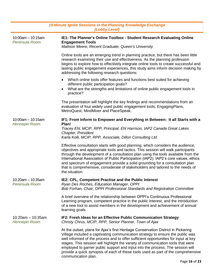| 15 Minute Ignite Sessions in the Planning Knowledge Exchange<br>(Lobby Level) |                                                                                                                                                                                                                                                                                                                                                                                                                                                                                                                                              |
|-------------------------------------------------------------------------------|----------------------------------------------------------------------------------------------------------------------------------------------------------------------------------------------------------------------------------------------------------------------------------------------------------------------------------------------------------------------------------------------------------------------------------------------------------------------------------------------------------------------------------------------|
| $10:00$ am $- 10:15$ am<br>Peninsula Room                                     | IE1: The Planner's Online Toolbox - Student Research Evaluating Online<br><b>Engagement Tools</b><br>Mattson Meere, Recent Graduate, Queen's University                                                                                                                                                                                                                                                                                                                                                                                      |
|                                                                               | Online tools are an emerging trend in planning practice, but there has been little<br>research examining their use and effectiveness. As the planning profession<br>begins to explore how to effectively integrate online tools to create successful and<br>lasting public engagement experiences, this study aims inform decision making by<br>addressing the following research questions:                                                                                                                                                 |
|                                                                               | Which online tools offer features and functions best suited for achieving<br>different public participation goals?<br>What are the strengths and limitations of online public engagement tools in<br>practice?                                                                                                                                                                                                                                                                                                                               |
|                                                                               | The presentation will highlight the key findings and recommendations from an<br>evaluation of four widely used public engagement tools; EngagingPlans,<br>MetroQuest, MindMixer and PlaceSpeak.                                                                                                                                                                                                                                                                                                                                              |
| $10:00am - 10:15am$<br><b>Hennepin Room</b>                                   | IF1: From Inform to Empower and Everything in Between: It all Starts with a<br>Plan!<br>Tracey Ehl, MCIP, RPP, Principal, Ehl Harrison, IAP2 Canada Great Lakes<br>Chapter, President<br>Karla Kolli, MCIP, RPP, Associate, Dillon Consulting Ltd.                                                                                                                                                                                                                                                                                           |
|                                                                               | Effective consultation starts with good planning, which considers the audience,<br>objectives and appropriate tools and tactics. This session will walk participants<br>through the development of a consultation plan using the tools available from the<br>International Association of Public Participation (IAP2). IAP2's core values, ethics<br>and spectrum of engagement provide a solid grounding for a consultation plan<br>that is comprehensive, considerate of stakeholders and tailored to the needs of<br>the situation.       |
| 10:20am - 10:35am<br>Peninsula Room                                           | IE2: CPL, Competent Practise and the Public Interest<br>Ryan Des Roches, Education Manager, OPPI<br>Bob Forhan, Chair, OPPI Professional Standards and Registration Committee                                                                                                                                                                                                                                                                                                                                                                |
|                                                                               | A brief overview of the relationship between OPPI's Continuous Professional<br>Learning program, competent practice in the public interest, and the introduction<br>of a new tool to assist members in the development and achievement of annual<br>learning goals.                                                                                                                                                                                                                                                                          |
| $10:20am - 10:35am$<br><b>Hennepin Room</b>                                   | IF2: Fresh Ideas for an Effective Public Communication Strategy<br>Christy Chrus, MCIP, RPP, Senior Planner, Town of Ajax                                                                                                                                                                                                                                                                                                                                                                                                                    |
|                                                                               | At the outset, plans for Ajax's first Heritage Conservation District in Pickering<br>Village included a captivating communication strategy to ensure the public was<br>well informed of the process and to offer sufficient opportunities for input at key<br>stages. This session will highlight the variety of communication tools that were<br>employed to garner public support and input into the process. The session will<br>provide a quick synopsis of each of these tools used as part of the comprehensive<br>communication plan. |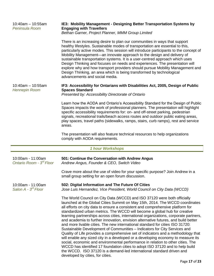| $10:40$ am - 10:55am<br>Peninsula Room                    | IE3: Mobility Management - Designing Better Transportation Systems by<br><b>Engaging with Travellers</b><br>Bethan Garner, Project Planner, MMM Group Limited                                                                                                                                                                                                                                                                                                                                                                                                                                                                                                                                                                                                                                                                                                                                                                                                                                                                                                                               |
|-----------------------------------------------------------|---------------------------------------------------------------------------------------------------------------------------------------------------------------------------------------------------------------------------------------------------------------------------------------------------------------------------------------------------------------------------------------------------------------------------------------------------------------------------------------------------------------------------------------------------------------------------------------------------------------------------------------------------------------------------------------------------------------------------------------------------------------------------------------------------------------------------------------------------------------------------------------------------------------------------------------------------------------------------------------------------------------------------------------------------------------------------------------------|
|                                                           | There is an increasing desire to plan our communities in ways that support<br>healthy lifestyles. Sustainable modes of transportation are essential to this,<br>particularly active modes. This session will introduce participants to the concept of<br>Mobility Management—an innovate approach to the design and delivery of<br>sustainable transportation systems. It is a user-centred approach which uses<br>Design Thinking and focuses on needs and experiences. The presentation will<br>explore why and how transport providers should pursue Mobility Management and<br>Design Thinking, an area which is being transformed by technological<br>advancements and social media.                                                                                                                                                                                                                                                                                                                                                                                                   |
| $10:40$ am $- 10:55$ am<br><b>Hennepin Room</b>           | IF3: Accessibility for Ontarians with Disabilities Act, 2005, Design of Public<br><b>Spaces Standard</b><br>Presented by: Accessibility Directorate of Ontario                                                                                                                                                                                                                                                                                                                                                                                                                                                                                                                                                                                                                                                                                                                                                                                                                                                                                                                              |
|                                                           | Learn how the AODA and Ontario's Accessibility Standard for the Design of Public<br>Spaces impacts the work of professional planners. The presentation will highlight<br>specific accessibility requirements for: on- and off-street parking, pedestrian<br>signals, recreational trails/beach access routes and outdoor public eating areas,<br>play spaces, travel paths (sidewalks, ramps, stairs, curb ramps), rest and service<br>areas.                                                                                                                                                                                                                                                                                                                                                                                                                                                                                                                                                                                                                                               |
|                                                           | The presentation will also feature technical resources to help organizations<br>comply with AODA requirements.                                                                                                                                                                                                                                                                                                                                                                                                                                                                                                                                                                                                                                                                                                                                                                                                                                                                                                                                                                              |
|                                                           | <b>1 hour Workshops</b>                                                                                                                                                                                                                                                                                                                                                                                                                                                                                                                                                                                                                                                                                                                                                                                                                                                                                                                                                                                                                                                                     |
| 10:00am - 11:00am<br>Ontario Room - 3 <sup>rd</sup> Floor | 501: Continue the Conversation with Andrew Angus<br>Andrew Angus, Founder & CEO, Switch Video                                                                                                                                                                                                                                                                                                                                                                                                                                                                                                                                                                                                                                                                                                                                                                                                                                                                                                                                                                                               |
|                                                           | Crave more about the use of video for your specific purpose? Join Andrew in a<br>small group setting for an open forum discussion.                                                                                                                                                                                                                                                                                                                                                                                                                                                                                                                                                                                                                                                                                                                                                                                                                                                                                                                                                          |
| 10:00am - 11:00am<br>Salon $A - 3^{rd}$ Floor             | 502: Digital Information and The Future Of Cities<br>Jose Luis Hernandez, Vice President, World Council on City Data (WCCD)                                                                                                                                                                                                                                                                                                                                                                                                                                                                                                                                                                                                                                                                                                                                                                                                                                                                                                                                                                 |
|                                                           | The World Council on City Data (WCCD) and ISO 37120 were both officially<br>launched at the Global Cities Summit on May 15th, 2014. The WCCD coordinates<br>all efforts on city data to ensure a consistent and comprehensive platform for<br>standardized urban metrics. The WCCD will become a global hub for creative<br>learning partnerships across cities, international organizations, corporate partners,<br>and academia to further innovation, envision alternative futures, and build better<br>and more livable cities. The new international standard for cities ISO 31720:<br>Sustainable Development of Communities - Indicators for City Services and<br>Quality of Life provides a comprehensive set of indicators and a methodology that<br>will enable any sized city in a developed or a developing economy to measure its<br>social, economic and environmental performance in relation to other cities. The<br>WCCD has identified 17 foundation cities to adopt ISO 37120 and to help build<br>the WCCD. ISO 37120 is a demand-led international standard driven and |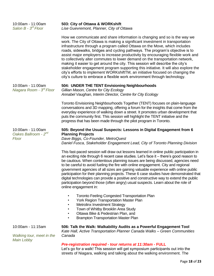| 10:00am - 11:00am<br>Salon $B - 3^{rd}$ Floor                  | 503: City of Ottawa & WORKshift<br>Lise Guevremont, Planner, City of Ottawa                                                                                                                                                                                                                                                                                                                                                                                                                                                                                                                                                                                                                                                                                                                                                            |
|----------------------------------------------------------------|----------------------------------------------------------------------------------------------------------------------------------------------------------------------------------------------------------------------------------------------------------------------------------------------------------------------------------------------------------------------------------------------------------------------------------------------------------------------------------------------------------------------------------------------------------------------------------------------------------------------------------------------------------------------------------------------------------------------------------------------------------------------------------------------------------------------------------------|
|                                                                | How we communicate and share information is changing and so is the way we<br>work. The City of Ottawa is making a significant investment in transportation<br>infrastructure through a program called Ottawa on the Move, which includes<br>roads, sidewalks, bridges and cycling pathways. The program's objective is to<br>assist major employers to increase productivity by encouraging flexible work and<br>to collectively alter commutes to lower demand on the transportation network,<br>making it easier to get around the city. This session will describe the city's<br>stakeholder engagement program supporting this initiative. It will also explore the<br>city's efforts to implement WORKshiftTM, an initiative focused on changing the<br>city's culture to embrace a flexible work environment through technology. |
| 10:00am - 11:00am<br>Niagara Room - 3 <sup>rd</sup> Floor      | 504: UNDER THE TENT Envisioning Neighbourhoods<br>Gillian Mason, Centre for City Ecology<br>Annabel Vaughan, Interim Director, Centre for City Ecology                                                                                                                                                                                                                                                                                                                                                                                                                                                                                                                                                                                                                                                                                 |
|                                                                | Toronto Envisioning Neighbourhoods Together (TENT) focuses on plain-language<br>conversations and 3D mapping, offering a forum for the insights that come from the<br>everyday experience of walking down a street. It promotes urban development that<br>puts the community first. This session will highlight the TENT initiative and the<br>progress that has been made through the pilot program in Toronto.                                                                                                                                                                                                                                                                                                                                                                                                                       |
| 10:00am - 11:00am<br>Oakes Ballroom - 2 <sup>nd</sup><br>Floor | 505: Beyond the Usual Suspects: Lessons in Digital Engagement from 6<br><b>Planning Projects</b><br>Dave Biggs, Co-Founder, MetroQuest<br>Daniel Fusca, Stakeholder Engagement Lead, City of Toronto Planning Division                                                                                                                                                                                                                                                                                                                                                                                                                                                                                                                                                                                                                 |
|                                                                | This fast-paced session will draw out lessons learned in online public participation in<br>an exciting ride through 6 recent case studies. Let's face it - there's good reason to<br>be cautious. When contentious planning issues are being discussed, agencies need<br>to be careful to avoid fueling the fire with online engagement. City and regional<br>government agencies of all sizes are gaining valuable experience with online public<br>participation for their planning projects. These 6 case studies have demonstrated that<br>digital technologies can provide a positive and constructive way to extend the public<br>participation beyond those (often angry) usual suspects. Learn about the role of<br>online engagement in:                                                                                      |
|                                                                | <b>Toronto Feeling Congested Transportation Plan</b><br>٠<br><b>York Region Transportation Master Plan</b><br>$\bullet$<br><b>Metrolinx Investment Strategy</b><br>Town of Whitby Brooklin Area Study<br>Ottawa Bike & Pedestrian Plan, and<br><b>Brampton Transportation Master Plan</b><br>$\bullet$                                                                                                                                                                                                                                                                                                                                                                                                                                                                                                                                 |
| 10:00am - 11:15am<br>Walking tour, meet in the                 | 506: Talk the Walk: Walkability Audits as a Powerful Engagement Tool<br>Kate Hall, Active Transportation Planner Canada Walks - Green Communities<br>Canada                                                                                                                                                                                                                                                                                                                                                                                                                                                                                                                                                                                                                                                                            |
| <b>Main Lobby</b>                                              | Pre-registration required - tour returns at 11:30am - FULL<br>Let's go for a walk! This session will get symposium participants out into the<br>streets of Niagara, walking and talking about the walking environment. The                                                                                                                                                                                                                                                                                                                                                                                                                                                                                                                                                                                                             |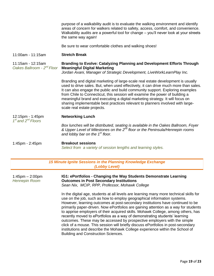purpose of a walkability audit is to evaluate the walking environment and identify areas of concern for walkers related to safety, access, comfort, and convenience. Walkability audits are a powerful tool for change – you'll never look at your streets the same way again!

Be sure to wear comfortable clothes and walking shoes!

11:00am - 11:15am **Stretch Break**

11:15am - 12:15am *Oakes Ballroom - 2 nd Floor* **Branding to Evolve: Catalyzing Planning and Development Efforts Through Meaningful Digital Marketing**

*Jordan Axani, Manager of Strategic Development, LiveWorkLearnPlay Inc.*

Branding and digital marketing of large-scale real estate development is usually used to drive sales. But, when used effectively, it can drive much more than sales. It can also engage the public and build community support. Exploring examples from Chile to Connecticut, this session will examine the power of building a meaningful brand and executing a digital marketing strategy. It will focus on sharing implementable best practices relevant to planners involved with largescale real estate projects.

12:15pm - 1:45pm *1 st and 2nd Floors* **Networking Lunch**

*Box lunches will be distributed, seating is available in the Oakes Ballroom, Foyer & Upper Level of Milestones on the 2nd floor or the Peninsula/Hennepin rooms and lobby bar on the 1 st floor.*

1:45pm - 2:45pm **Breakout sessions** *Select from a variety of session lengths and learning styles.*

| 15 Minute Ignite Sessions in the Planning Knowledge Exchange<br>(Lobby Level) |                                                                                                                                                                                                                                                                                                                                                                                                                                                                                                                                                                                                                                                                                                                                                                                                             |
|-------------------------------------------------------------------------------|-------------------------------------------------------------------------------------------------------------------------------------------------------------------------------------------------------------------------------------------------------------------------------------------------------------------------------------------------------------------------------------------------------------------------------------------------------------------------------------------------------------------------------------------------------------------------------------------------------------------------------------------------------------------------------------------------------------------------------------------------------------------------------------------------------------|
| $1:45$ pm $- 2:00$ pm<br><b>Hennepin Room</b>                                 | IG1: ePortfolios - Changing the Way Students Demonstrate Learning<br><b>Outcomes in Post Secondary Institutions</b><br>Sean Nix, MCIP, RPP, Professor, Mohawk College                                                                                                                                                                                                                                                                                                                                                                                                                                                                                                                                                                                                                                       |
|                                                                               | In the digital age, students at all levels are learning many more technical skills for<br>use on the job, such as how to employ geographical information systems.<br>However, learning outcomes at post-secondary institutions have continued to be<br>primarily paper-driven. Now ePortfolios are gaining attention as a way for students<br>to apprise employers of their acquired skills. Mohawk College, among others, has<br>recently moved to ePortfolios as a way of demonstrating students' learning<br>outcomes. These may be accessed by prospective employers with the simple<br>click of a mouse. This session will briefly discuss ePortfolios in post-secondary<br>institutions and describe the Mohawk College experience within the School of<br><b>Building and Construction Sciences.</b> |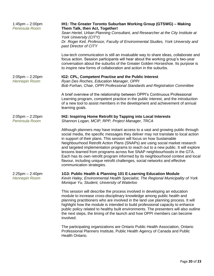| $1:45$ pm $- 2:00$ pm<br>Peninsula Room       | IH1: The Greater Toronto Suburban Working Group (GTSWG) - Making<br>Them Talk, then Act, Together!<br>Sean Hertel, Urban Planning Consultant, and Researcher at the City Institute at<br><b>York University (CITY)</b><br>Dr. Roger Keil, Professor, Faculty of Environmental Studies, York University and                                                                                                                                                                                                                                                                                                                                                                                         |
|-----------------------------------------------|----------------------------------------------------------------------------------------------------------------------------------------------------------------------------------------------------------------------------------------------------------------------------------------------------------------------------------------------------------------------------------------------------------------------------------------------------------------------------------------------------------------------------------------------------------------------------------------------------------------------------------------------------------------------------------------------------|
|                                               | past Director of CITY                                                                                                                                                                                                                                                                                                                                                                                                                                                                                                                                                                                                                                                                              |
|                                               | Low-tech communication is still an invaluable way to share ideas, collaborate and<br>focus action. Session participants will hear about the working group's two-year<br>conversation about the suburbs of the Greater Golden Horseshoe. Its purpose is<br>to inspire new forms of collaboration and action in the suburbs.                                                                                                                                                                                                                                                                                                                                                                         |
| $2:05$ pm – 2:20pm<br><b>Hennepin Room</b>    | IG2: CPL, Competent Practise and the Public Interest<br>Ryan Des Roches, Education Manager, OPPI<br>Bob Forhan, Chair, OPPI Professional Standards and Registration Committee                                                                                                                                                                                                                                                                                                                                                                                                                                                                                                                      |
|                                               | A brief overview of the relationship between OPPI's Continuous Professional<br>Learning program, competent practice in the public interest, and the introduction<br>of a new tool to assist members in the development and achievement of annual<br>learning goals.                                                                                                                                                                                                                                                                                                                                                                                                                                |
| $2:05$ pm $- 2:20$ pm<br>Peninsula Room       | IH2: Inspiring Home Retrofit by Tapping into Local Interests<br>Shannon Logan, MCIP, RPP, Project Manager, TRCA                                                                                                                                                                                                                                                                                                                                                                                                                                                                                                                                                                                    |
|                                               | Although planners may have instant access to a vast and growing public through<br>social media, the specific messages they deliver may not translate to local action<br>in support of their plans. This session will focus on how Sustainable<br>Neighbourhood Retrofit Action Plans (SNAPs) are using social market research<br>and targeted implementation programs to reach out to a new public. It will explore<br>lessons learned from programs across five SNAP neighbourhoods in the GTA.<br>Each has its own retrofit program informed by its neighbourhood context and local<br>flavour, including unique retrofit challenges, social networks and effective<br>communication strategies. |
| $2:25$ pm $- 2:40$ pm<br><b>Hennepin Room</b> | 1G3: Public Health & Planning 101 E-Learning Education Module<br>Kevin Haley, Environmental Health Specialist, The Regional Municipality of York<br>Monique Yu, Student, University of Waterloo                                                                                                                                                                                                                                                                                                                                                                                                                                                                                                    |
|                                               | This session will describe the process involved in developing an education<br>module to increase cross-disciplinary knowledge among public health and<br>planning practitioners who are involved in the land use planning process. It will<br>highlight how the module is intended to build professional capacity to enhance<br>public policy related to healthy built environments. The presenters will also outline<br>the next steps, the timing of the launch and how OPPI members can become<br>involved.                                                                                                                                                                                     |
|                                               | The participating organizations are Ontario Public Health Association, Ontario<br>Professional Planners Institute, Public Health Agency of Canada and Public<br>Health Ontario.                                                                                                                                                                                                                                                                                                                                                                                                                                                                                                                    |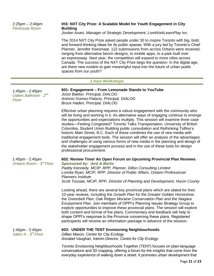2:25pm – 2:40pm *Peninsula Room*

### **IH3: NXT City Prize: A Scalable Model for Youth Engagement in City Building**

*Jordan Axani, Manager of Strategic Development, LiveWorkLearnPlay Inc.*

The [2014 NXT City Prize](http://nxtcityprize.us8.list-manage.com/track/click?u=98207bb5b372a7b49f2265643&id=6c83b1f3fe&e=ba489779a8) asked people under 30 to inspire Toronto with big, bold, and forward-thinking ideas for its public spaces. With a jury led by Toronto's Chief Planner, Jennifer Keesmaat, 122 submissions from across Ontario were received, ranging from alternative bench designs, to mobile apps, to a park built over an expressway. Next year, the competition will expand to more cities across Canada. The success of the NXT City Prize begs the question: In the digital age, are there new models to gain meaningful input into the future of urban public spaces from our youth?

### *1 hour Workshops*

| 1:45pm - 2:45pm<br>Oakes Ballroom - 2 <sup>nd</sup><br>Floor | 601: Engagement - From Lemonade Stands to YouTube<br>Joost Bakker, Principal, DIALOG<br>Antonio Gomez-Palacio, Principal, DIALOG<br>Bruce Haden, Principal, DIALOG                                                                                                                                                                                                                                                                                                                                                                                                                                                                                                                                                                                                                                |
|--------------------------------------------------------------|---------------------------------------------------------------------------------------------------------------------------------------------------------------------------------------------------------------------------------------------------------------------------------------------------------------------------------------------------------------------------------------------------------------------------------------------------------------------------------------------------------------------------------------------------------------------------------------------------------------------------------------------------------------------------------------------------------------------------------------------------------------------------------------------------|
|                                                              | Effective urban planning requires a robust engagement with the community who<br>will be living and working in it. As alternative ways of engaging continue to emerge<br>the opportunities and expectations multiply. This session will examine three case<br>studies—Feeling Congested? Toronto Talks Transportation, University of British<br>Columbia, Student Union Building public consultation and Rethinking Tolfino's<br>historic Main Street, B.C. Each of these combines the use of new media with<br>traditional engagement tools. The session will offer an analysis of the advantages<br>and challenges of using various forms of new media in the planning and design of<br>the stakeholder engagement process and in the use of these tools for design<br>professional procurement. |
| 1:45pm - 2:45pm<br>Ontario Room - 3 <sup>rd</sup> Floor      | 602: Review Time! An Open Forum on Upcoming Provincial Plan Reviews<br><b>Sponsored by: Aird &amp; Berlis</b><br>Paddy Kennedy, MCIP, RPP, Planner, Dillon Consulting Limited<br>Loretta Ryan, MCIP, RPP, Director of Public Affairs, Ontario Professional<br><b>Planners Institute</b><br>Scott Tousaw, MCIP, RPP, Director of Planning and Development, Huron County                                                                                                                                                                                                                                                                                                                                                                                                                            |
|                                                              | Looking ahead, there are several key provincial plans which are slated for their<br>10-year reviews, including the Growth Plan for the Greater Golden Horseshoe,<br>the Greenbelt Plan, Oak Ridges Moraine Conservation Plan and the Niagara<br>Escarpment Plan. Join members of OPPI's Planning Issues Strategy Group to<br>explore opportunities to improve these provincial plans. The session will explore<br>both content and format of the plans. Commentary and feedback will help to<br>shape OPPI's response to the Province concerning these plans. Registered<br>participants will receive an information package in advance of the session.                                                                                                                                           |
| 1:45pm - 2:45pm<br>Salon $A - 3^{rd}$ Floor                  | 603: UNDER THE TENT Envisioning Neighbourhoods<br>Gillian Mason, Centre for City Ecology<br>Annabel Vaughan, Interim Director, Centre for City Ecology                                                                                                                                                                                                                                                                                                                                                                                                                                                                                                                                                                                                                                            |
|                                                              | Toronto Envisioning Neighbourhoods Together (TENT) focuses on plain-language<br>conversations and 3D mapping, offering a forum for the insights that come from the<br>everyday experience of walking down a street. It promotes urban development that                                                                                                                                                                                                                                                                                                                                                                                                                                                                                                                                            |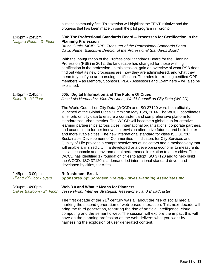puts the community first. This session will highlight the TENT initiative and the progress that has been made through the pilot program in Toronto.

1:45pm - 2:45pm *Niagara Room - 3 rd Floor*

1:45pm - 2:45pm *Salon B - 3 rd Floor*

### **604: The Professional Standards Board – Processes for Certification in the Planning Profession**

*Bruce Curtis, MCIP, RPP, Treasurer of the Professional Standards Board David Petrie, Executive Director of the Professional Standards Board*

With the inauguration of the Professional Standards Board for the Planning Profession (PSB) in 2012, the landscape has changed for those wishing certification in the profession. In this session, gain an overview of what PSB does, find out what its new processes are, how they are administered, and what they mean to you if you are pursuing certification. The roles for existing certified OPPI members – as Mentors, Sponsors, PLAR Assessors and Examiners – will also be explained.

### **605: Digital Information and The Future Of Cities**

*Jose Luis Hernandez, Vice President, World Council on City Data (WCCD)*

The World Council on City Data (WCCD) and ISO 37120 were both officially launched at the Global Cities Summit on May 15th, 2014. The WCCD coordinates all efforts on city data to ensure a consistent and comprehensive platform for standardized urban metrics. The WCCD will become a global hub for creative learning partnerships across cities, international organizations, corporate partners, and academia to further innovation, envision alternative futures, and build better and more livable cities. The new international standard for cities ISO 31720: Sustainable Development of Communities – Indicators for City Services and Quality of Life provides a comprehensive set of indicators and a methodology that will enable any sized city in a developed or a developing economy to measure its social, economic and environmental performance in relation to other cities. The WCCD has identified 17 foundation cities to adopt ISO 37120 and to help build the WCCD. ISO 37120 is a demand-led international standard driven and developed by cities, for cities.

| $2:45$ pm - $3:00$ pm<br>1 <sup>st</sup> and 2 <sup>nd</sup> Floor Foyers | <b>Refreshment Break</b><br>Sponsored by: Sorensen Gravely Lowes Planning Associates Inc.                                                                                                                                                                                                                                                                                                                              |
|---------------------------------------------------------------------------|------------------------------------------------------------------------------------------------------------------------------------------------------------------------------------------------------------------------------------------------------------------------------------------------------------------------------------------------------------------------------------------------------------------------|
| $3:00 \text{pm} - 4:00 \text{pm}$                                         | Web 3.0 and What it Means for Planners<br>Oakes Ballroom - 2 <sup>nd</sup> Floor Jesse Hirsh, Internet Strategist, Researcher, and Broadcaster                                                                                                                                                                                                                                                                         |
|                                                                           | The first decade of the 21 <sup>st</sup> century was all about the rise of social media,<br>marking the second generation of web-based interaction. This next decade will<br>bring the third generation, featuring the rise of artificial intelligence, cloud<br>computing and the semantic web. The session will explore the impact this will<br>have on the planning profession as the web delivers what you want by |

harnessing the explosion of user generated content.